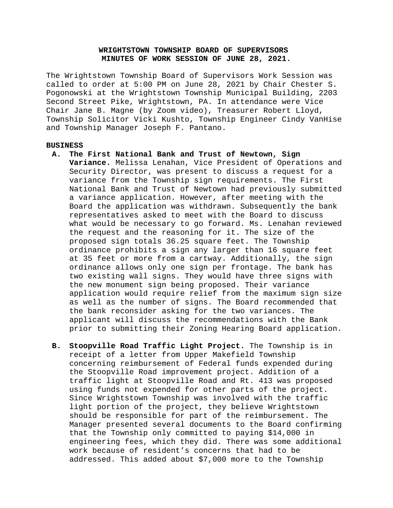# **WRIGHTSTOWN TOWNSHIP BOARD OF SUPERVISORS MINUTES OF WORK SESSION OF JUNE 28, 2021.**

The Wrightstown Township Board of Supervisors Work Session was called to order at 5:00 PM on June 28, 2021 by Chair Chester S. Pogonowski at the Wrightstown Township Municipal Building, 2203 Second Street Pike, Wrightstown, PA. In attendance were Vice Chair Jane B. Magne (by Zoom video), Treasurer Robert Lloyd, Township Solicitor Vicki Kushto, Township Engineer Cindy VanHise and Township Manager Joseph F. Pantano.

### **BUSINESS**

- **A. The First National Bank and Trust of Newtown, Sign Variance.** Melissa Lenahan, Vice President of Operations and Security Director, was present to discuss a request for a variance from the Township sign requirements. The First National Bank and Trust of Newtown had previously submitted a variance application. However, after meeting with the Board the application was withdrawn. Subsequently the bank representatives asked to meet with the Board to discuss what would be necessary to go forward. Ms. Lenahan reviewed the request and the reasoning for it. The size of the proposed sign totals 36.25 square feet. The Township ordinance prohibits a sign any larger than 16 square feet at 35 feet or more from a cartway. Additionally, the sign ordinance allows only one sign per frontage. The bank has two existing wall signs. They would have three signs with the new monument sign being proposed. Their variance application would require relief from the maximum sign size as well as the number of signs. The Board recommended that the bank reconsider asking for the two variances. The applicant will discuss the recommendations with the Bank prior to submitting their Zoning Hearing Board application.
- **B. Stoopville Road Traffic Light Project.** The Township is in receipt of a letter from Upper Makefield Township concerning reimbursement of Federal funds expended during the Stoopville Road improvement project. Addition of a traffic light at Stoopville Road and Rt. 413 was proposed using funds not expended for other parts of the project. Since Wrightstown Township was involved with the traffic light portion of the project, they believe Wrightstown should be responsible for part of the reimbursement. The Manager presented several documents to the Board confirming that the Township only committed to paying \$14,000 in engineering fees, which they did. There was some additional work because of resident's concerns that had to be addressed. This added about \$7,000 more to the Township